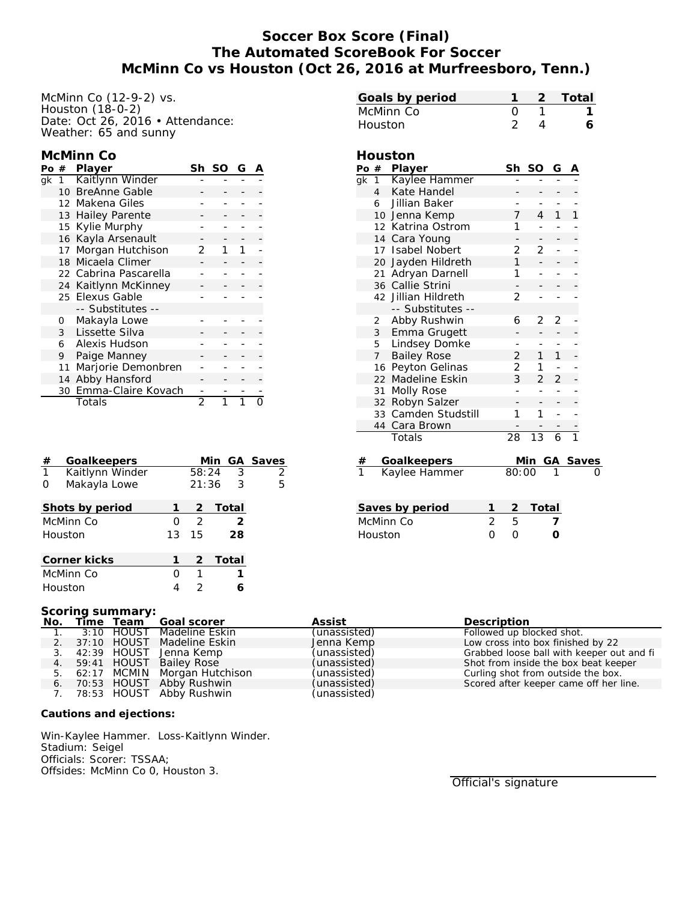## **Soccer Box Score (Final) The Automated ScoreBook For Soccer McMinn Co vs Houston (Oct 26, 2016 at Murfreesboro, Tenn.)**

McMinn Co (12-9-2) vs. Houston (18-0-2) Date: Oct 26, 2016 • Attendance: Weather: 65 and sunny

### **McMinn Co**

| Po # |    | Player                | Sh | SO | G |  |
|------|----|-----------------------|----|----|---|--|
| qk   | 1  | Kaitlynn Winder       |    |    |   |  |
|      |    | 10 BreAnne Gable      |    |    |   |  |
|      |    | 12 Makena Giles       |    |    |   |  |
|      | 13 | <b>Hailey Parente</b> |    |    |   |  |
|      | 15 | Kylie Murphy          |    |    |   |  |
|      | 16 | Kayla Arsenault       |    |    |   |  |
|      |    | 17 Morgan Hutchison   | 2  | 1  |   |  |
|      | 18 | Micaela Climer        |    |    |   |  |
|      |    | 22 Cabrina Pascarella |    |    |   |  |
|      | 24 | Kaitlynn McKinney     |    |    |   |  |
|      |    | 25 Elexus Gable       |    |    |   |  |
|      |    | -- Substitutes --     |    |    |   |  |
|      | 0  | Makayla Lowe          |    |    |   |  |
|      |    | 3 Lissette Silva      |    |    |   |  |
|      |    | 6 Alexis Hudson       |    |    |   |  |
|      | 9  | Paige Manney          |    |    |   |  |
|      | 11 | Marjorie Demonbren    |    |    |   |  |
|      | 14 | Abby Hansford         |    |    |   |  |
|      | 30 | Emma-Claire Kovach    |    |    |   |  |
|      |    | Totals                | 2  |    |   |  |

| #            | Goalkeepers     |                  |               |       |               | Min GA Saves |
|--------------|-----------------|------------------|---------------|-------|---------------|--------------|
| $\mathbf{1}$ | Kaitlynn Winder |                  | 58:24         |       | -3            | 2            |
| $\Omega$     | Makayla Lowe    |                  | 21:36         |       | 3             | 5            |
|              |                 |                  |               |       |               |              |
|              | Shots by period |                  | 2             | Total |               |              |
|              | McMinn Co       | Ω                | $\mathcal{L}$ |       | $\mathcal{D}$ |              |
|              | Houston         | 13               | 15            |       | 28            |              |
|              |                 |                  |               |       |               |              |
|              | Corner kicks    |                  | $\sqrt{2}$    | Total |               |              |
|              | McMinn Co       | $\left( \right)$ | 1             |       |               |              |
|              | Houston         |                  | 2             |       |               |              |

#### **Scoring summary:**

| No. |  | Time Team Goal scorer           | Assist       | Description                               |
|-----|--|---------------------------------|--------------|-------------------------------------------|
|     |  | 3:10 HOUST Madeline Eskin       | (unassisted) | Followed up blocked shot.                 |
|     |  | 2. 37:10 HOUST Madeline Eskin   | Jenna Kemp   | Low cross into box finished by 22         |
|     |  | 3. 42:39 HOUST Jenna Kemp       | (unassisted) | Grabbed loose ball with keeper out and fi |
|     |  | 4. 59:41 HOUST Bailey Rose      | (unassisted) | Shot from inside the box beat keeper      |
|     |  | 5. 62:17 MCMIN Morgan Hutchison | (unassisted) | Curling shot from outside the box.        |
|     |  | 6. 70:53 HOUST Abby Rushwin     | (unassisted) | Scored after keeper came off her line.    |
|     |  | 7. 78:53 HOUST Abby Rushwin     | (unassisted) |                                           |

**Cautions and ejections:**

Win-Kaylee Hammer. Loss-Kaitlynn Winder. Stadium: Seigel Officials: Scorer: TSSAA; Offsides: McMinn Co 0, Houston 3.

| Goals by period |                |                    |                | 1              | 2                        |                | Total |       |
|-----------------|----------------|--------------------|----------------|----------------|--------------------------|----------------|-------|-------|
| McMinn Co       |                |                    |                | $\overline{O}$ | $\overline{1}$           |                |       | 1     |
| Houston         |                |                    |                | 2              | $\overline{4}$           |                |       | 6     |
|                 |                |                    |                |                |                          |                |       |       |
| Houston         |                |                    |                |                |                          |                |       |       |
| Player<br>Po #  |                |                    |                | Sh             | SO                       | G              |       |       |
| qk              | $\mathbf{1}$   | Kaylee Hammer      |                |                |                          |                |       |       |
|                 | $\overline{4}$ | Kate Handel        |                |                |                          |                |       |       |
|                 | 6              | Jillian Baker      |                |                |                          | -              |       |       |
|                 |                | 10 Jenna Kemp      |                | 7              | 4                        | 1              | 1     |       |
|                 |                | 12 Katrina Ostrom  |                | 1              |                          | ÷              |       |       |
|                 |                | 14 Cara Young      |                |                |                          | -              |       |       |
|                 |                | 17 Isabel Nobert   |                | 2              | 2                        | ÷              |       |       |
|                 |                | 20 Jayden Hildreth |                | 1              |                          |                |       |       |
|                 |                | 21 Adryan Darnell  |                | 1              |                          |                |       |       |
|                 |                | 36 Callie Strini   |                |                |                          | -              |       |       |
|                 | 42             | Jillian Hildreth   |                | $\overline{2}$ |                          | L,             |       |       |
|                 |                | -- Substitutes --  |                |                |                          |                |       |       |
|                 | $\overline{2}$ | Abby Rushwin       |                | 6              | 2                        | 2              | -     |       |
|                 | 3 <sup>1</sup> | Emma Grugett       |                |                |                          |                |       |       |
|                 | 5              | Lindsey Domke      |                | ÷,             | ÷,                       | ÷              |       |       |
|                 | $\overline{7}$ | <b>Bailey Rose</b> |                | 2              | $\mathbf{1}$             | 1              |       |       |
|                 |                | 16 Peyton Gelinas  |                | 2              | 1                        | L,             |       |       |
|                 |                | 22 Madeline Eskin  |                | 3              | $\overline{2}$           | $\overline{2}$ |       |       |
|                 | 31             | Molly Rose         |                |                |                          |                |       |       |
|                 |                | 32 Robyn Salzer    |                |                |                          |                |       |       |
|                 | 33             | Camden Studstill   |                | 1              | 1                        | $\overline{a}$ |       |       |
|                 | 44             | Cara Brown         |                |                |                          |                |       |       |
|                 |                | <b>Totals</b>      |                | 28             | 13                       | 6              | 1     |       |
|                 |                |                    |                |                |                          |                |       |       |
| #               |                | <b>Goalkeepers</b> |                |                | <u>Min GA</u><br>80:00 1 |                |       | Saves |
|                 |                | Kaylee Hammer      |                |                |                          |                |       |       |
|                 |                |                    |                |                |                          |                |       |       |
| Saves by period |                |                    | 1              | $\overline{c}$ | <b>Total</b>             |                |       |       |
| McMinn Co       |                |                    | $\overline{2}$ | 5              |                          | 7              |       |       |
| Houston         |                |                    | 0              | 0              |                          | Ο              |       |       |
|                 |                |                    |                |                |                          |                |       |       |

Official's signature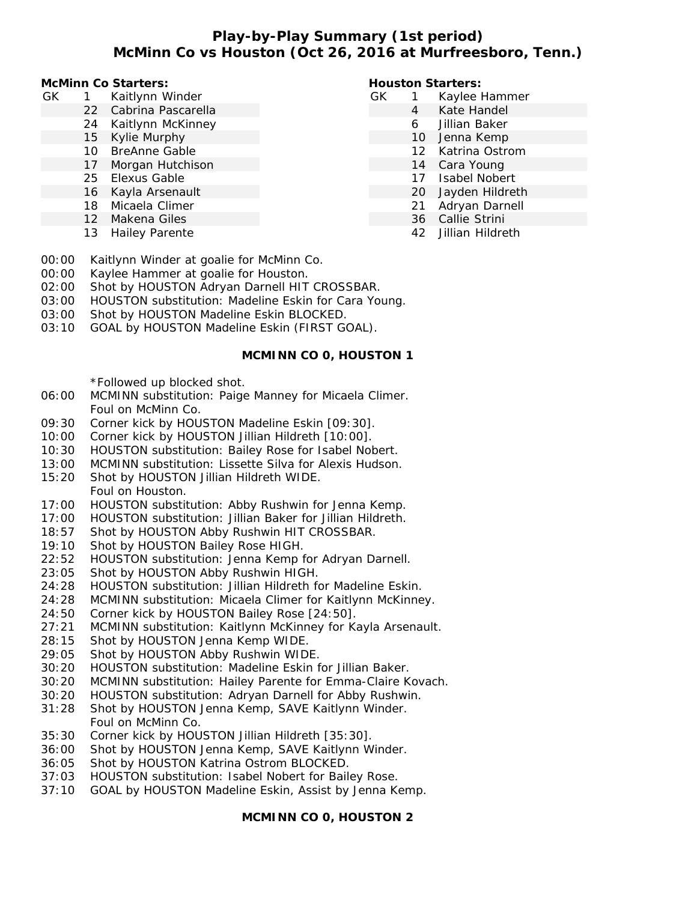### **Play-by-Play Summary (1st period) McMinn Co vs Houston (Oct 26, 2016 at Murfreesboro, Tenn.)**

**McMinn Co Starters:**

- GK 1 Kaitlynn Winder
	- 22 Cabrina Pascarella
	- 24 Kaitlynn McKinney
	- 15 Kylie Murphy
	- 10 BreAnne Gable
	- 17 Morgan Hutchison
	- 25 Elexus Gable
	- 16 Kayla Arsenault
	- 18 Micaela Climer
	- 12 Makena Giles
	- 13 Hailey Parente

**Houston Starters:**

- GK 1 Kaylee Hammer
	- 4 Kate Handel
	- 6 Jillian Baker
	- 10 Jenna Kemp
	- 12 Katrina Ostrom
	- 14 Cara Young
	- 17 Isabel Nobert
	- 20 Jayden Hildreth
	- 21 Adryan Darnell
	- 36 Callie Strini
	- 42 Jillian Hildreth
- 00:00 Kaitlynn Winder at goalie for McMinn Co.
- 00:00 Kaylee Hammer at goalie for Houston.
- 02:00 Shot by HOUSTON Adryan Darnell HIT CROSSBAR.
- 03:00 HOUSTON substitution: Madeline Eskin for Cara Young.
- 03:00 Shot by HOUSTON Madeline Eskin BLOCKED.
- 03:10 GOAL by HOUSTON Madeline Eskin (FIRST GOAL).

# **MCMINN CO 0, HOUSTON 1**

\*Followed up blocked shot.

- 06:00 MCMINN substitution: Paige Manney for Micaela Climer. Foul on McMinn Co.
- 09:30 Corner kick by HOUSTON Madeline Eskin [09:30].
- 10:00 Corner kick by HOUSTON Jillian Hildreth [10:00].
- 10:30 HOUSTON substitution: Bailey Rose for Isabel Nobert.
- 13:00 MCMINN substitution: Lissette Silva for Alexis Hudson.
- 15:20 Shot by HOUSTON Jillian Hildreth WIDE. Foul on Houston.
- 17:00 HOUSTON substitution: Abby Rushwin for Jenna Kemp.
- 17:00 HOUSTON substitution: Jillian Baker for Jillian Hildreth.
- 18:57 Shot by HOUSTON Abby Rushwin HIT CROSSBAR.
- 19:10 Shot by HOUSTON Bailey Rose HIGH.
- 22:52 HOUSTON substitution: Jenna Kemp for Adryan Darnell.
- 23:05 Shot by HOUSTON Abby Rushwin HIGH.
- 24:28 HOUSTON substitution: Jillian Hildreth for Madeline Eskin.
- 24:28 MCMINN substitution: Micaela Climer for Kaitlynn McKinney.
- 24:50 Corner kick by HOUSTON Bailey Rose [24:50].
- 27:21 MCMINN substitution: Kaitlynn McKinney for Kayla Arsenault.
- 28:15 Shot by HOUSTON Jenna Kemp WIDE.
- 29:05 Shot by HOUSTON Abby Rushwin WIDE.
- 30:20 HOUSTON substitution: Madeline Eskin for Jillian Baker.
- 30:20 MCMINN substitution: Hailey Parente for Emma-Claire Kovach.
- 30:20 HOUSTON substitution: Adryan Darnell for Abby Rushwin.
- 31:28 Shot by HOUSTON Jenna Kemp, SAVE Kaitlynn Winder. Foul on McMinn Co.
- 35:30 Corner kick by HOUSTON Jillian Hildreth [35:30].
- 36:00 Shot by HOUSTON Jenna Kemp, SAVE Kaitlynn Winder.
- 36:05 Shot by HOUSTON Katrina Ostrom BLOCKED.
- 37:03 HOUSTON substitution: Isabel Nobert for Bailey Rose.
- 37:10 GOAL by HOUSTON Madeline Eskin, Assist by Jenna Kemp.

**MCMINN CO 0, HOUSTON 2**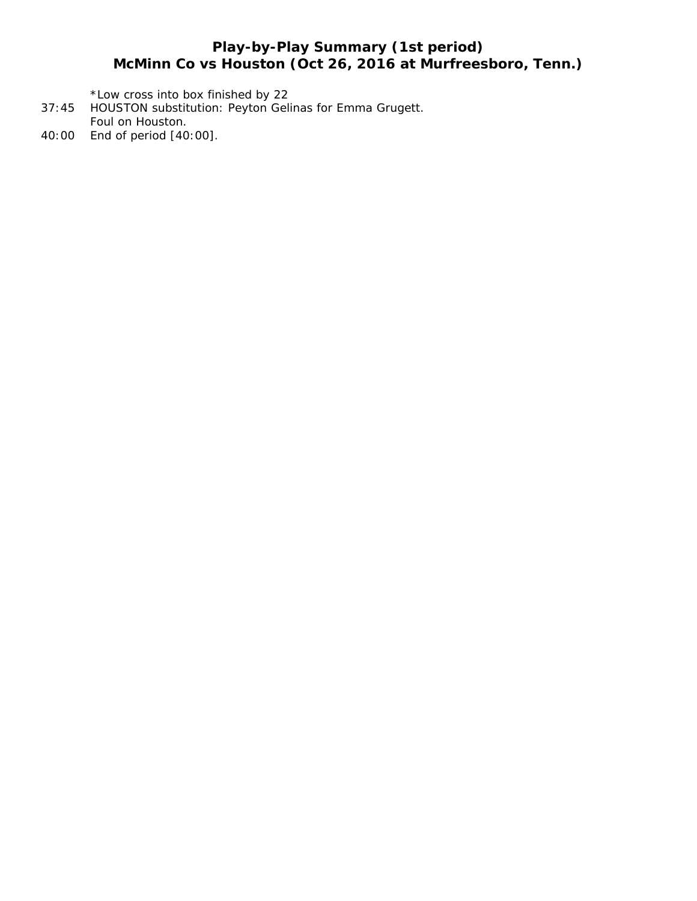### **Play-by-Play Summary (1st period) McMinn Co vs Houston (Oct 26, 2016 at Murfreesboro, Tenn.)**

\*Low cross into box finished by 22

37:45 HOUSTON substitution: Peyton Gelinas for Emma Grugett.

- Foul on Houston.
- 40:00 End of period [40:00].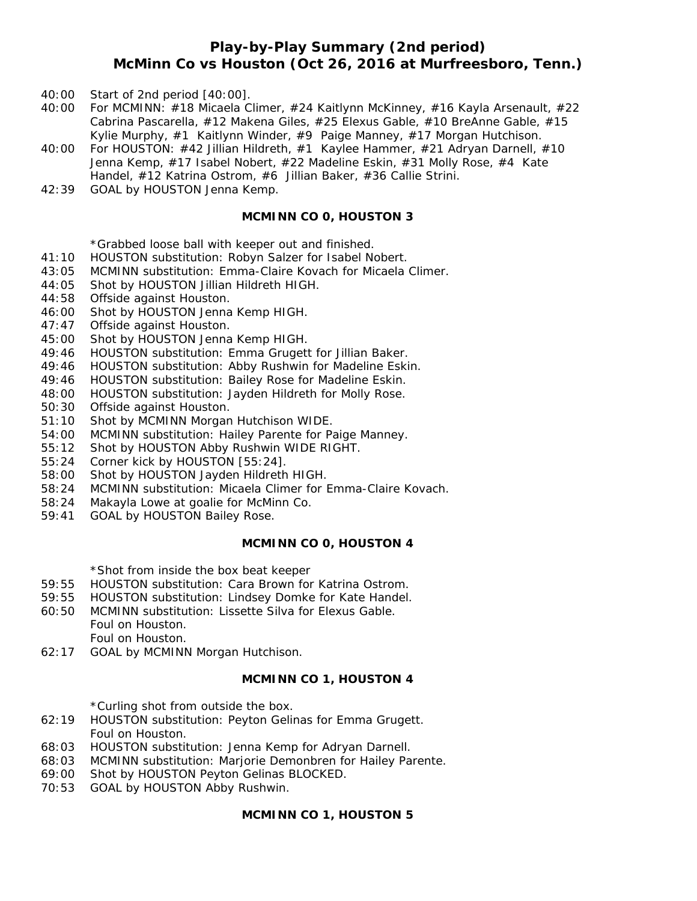### **Play-by-Play Summary (2nd period) McMinn Co vs Houston (Oct 26, 2016 at Murfreesboro, Tenn.)**

- 40:00 Start of 2nd period [40:00].
- 40:00 For MCMINN: #18 Micaela Climer, #24 Kaitlynn McKinney, #16 Kayla Arsenault, #22 Cabrina Pascarella, #12 Makena Giles, #25 Elexus Gable, #10 BreAnne Gable, #15 Kylie Murphy, #1 Kaitlynn Winder, #9 Paige Manney, #17 Morgan Hutchison.
- 40:00 For HOUSTON: #42 Jillian Hildreth, #1 Kaylee Hammer, #21 Adryan Darnell, #10 Jenna Kemp, #17 Isabel Nobert, #22 Madeline Eskin, #31 Molly Rose, #4 Kate Handel, #12 Katrina Ostrom, #6 Jillian Baker, #36 Callie Strini.
- 42:39 GOAL by HOUSTON Jenna Kemp.

#### **MCMINN CO 0, HOUSTON 3**

\*Grabbed loose ball with keeper out and finished.

- 41:10 HOUSTON substitution: Robyn Salzer for Isabel Nobert.
- 43:05 MCMINN substitution: Emma-Claire Kovach for Micaela Climer.
- 44:05 Shot by HOUSTON Jillian Hildreth HIGH.
- 44:58 Offside against Houston.
- 46:00 Shot by HOUSTON Jenna Kemp HIGH.
- 47:47 Offside against Houston.
- 45:00 Shot by HOUSTON Jenna Kemp HIGH.
- 49:46 HOUSTON substitution: Emma Grugett for Jillian Baker.
- 49:46 HOUSTON substitution: Abby Rushwin for Madeline Eskin.
- 49:46 HOUSTON substitution: Bailey Rose for Madeline Eskin.
- 48:00 HOUSTON substitution: Jayden Hildreth for Molly Rose.
- 50:30 Offside against Houston.
- 51:10 Shot by MCMINN Morgan Hutchison WIDE.
- 54:00 MCMINN substitution: Hailey Parente for Paige Manney.
- 55:12 Shot by HOUSTON Abby Rushwin WIDE RIGHT.
- 55:24 Corner kick by HOUSTON [55:24].
- 58:00 Shot by HOUSTON Jayden Hildreth HIGH.
- 58:24 MCMINN substitution: Micaela Climer for Emma-Claire Kovach.
- 58:24 Makayla Lowe at goalie for McMinn Co.
- 59:41 GOAL by HOUSTON Bailey Rose.

#### **MCMINN CO 0, HOUSTON 4**

\*Shot from inside the box beat keeper

- 59:55 HOUSTON substitution: Cara Brown for Katrina Ostrom.
- 59:55 HOUSTON substitution: Lindsey Domke for Kate Handel.
- 60:50 MCMINN substitution: Lissette Silva for Elexus Gable. Foul on Houston. Foul on Houston.
- 62:17 GOAL by MCMINN Morgan Hutchison.

#### **MCMINN CO 1, HOUSTON 4**

\*Curling shot from outside the box.

- 62:19 HOUSTON substitution: Peyton Gelinas for Emma Grugett. Foul on Houston.
- 68:03 HOUSTON substitution: Jenna Kemp for Adryan Darnell.
- 68:03 MCMINN substitution: Marjorie Demonbren for Hailey Parente.
- 69:00 Shot by HOUSTON Peyton Gelinas BLOCKED.
- 70:53 GOAL by HOUSTON Abby Rushwin.

#### **MCMINN CO 1, HOUSTON 5**